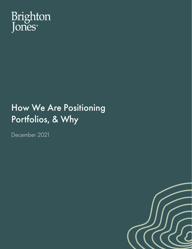

# How We Are Positioning Portfolios, & Why

December 2021

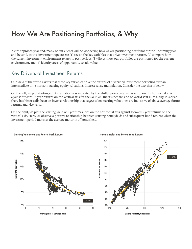## How We Are Positioning Portfolios, & Why

As we approach year-end, many of our clients will be wondering how we are positioning portfolios for the upcoming year and beyond. In this investment update, we (1) revisit the key variables that drive investment returns, (2) compare how the current investment environment relates to past periods, (3) discuss how our portfolios are positioned for the current environment, and (4) identify areas of opportunity to add value.

### Key Drivers of Investment Returns

Our view of the world asserts that three key variables drive the returns of diversified investment portfolios over an intermediate time horizon: starting equity valuations, interest rates, and inflation. Consider the two charts below.

On the left, we plot starting equity valuations (as indicated by the Shiller price-to-earnings ratio) on the horizontal axis against forward 15-year returns on the vertical axis for the S&P 500 Index since the end of World War II. Visually, it is clear there has historically been an inverse relationship that suggests low starting valuations are indicative of above-average future returns, and vice versa.

On the right, we plot the starting yield of 5-year treasuries on the horizontal axis against forward 5-year returns on the vertical axis. Here, we observe a positive relationship between starting bond yields and subsequent bond returns when the investment period matches the average maturity of bonds held.







**Starting Yield of 5yr Treasuries**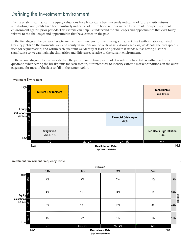### Defining the Investment Environment

Having established that starting equity valuations have historically been inversely indicative of future equity returns and starting bond yields have been positively indicative of future bond returns, we can benchmark today's investment environment against prior periods. This exercise can help us understand the challenges and opportunities that exist today relative to the challenges and opportunities that have existed in the past.

In the first diagram below, we characterize the investment environment using a quadrant chart with inflation-adjusted treasury yields on the horizontal axis and equity valuations on the vertical axis. Along each axis, we denote the breakpoints used for segmentation; and within each quadrant we identify at least one period that stands out as having historical significance so we can highlight similarities and differences relative to the current environment.

In the second diagram below, we calculate the percentage of time past market conditions have fallen within each subquadrant. When setting the breakpoints for each section, our intent was to identify extreme market conditions on the outer edges and for most of the data to fall in the center region.

#### **Investment Environment** Investment Enviroment



 **(10yr Treasury - Inflation)**

#### **Investment Environment Frequency Table** Investment Enviroment Frequency Table

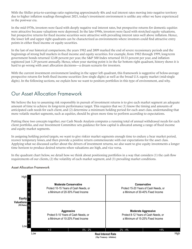With the Shiller price-to-earnings ratio registering approximately 40x and real interest rates moving into negative territory due to higher inflation readings throughout 2021, today's investment environment is unlike any other we have experienced in the post-war era.

In the mid-1970s, investors were faced with deeply negative real interest rates, but prospective returns for domestic equities were attractive because valuations were depressed. In the late-1990s, investors were faced with stretched equity valuations, but prospective returns for fixed income securities were attractive with prevailing interest rates well above inflation. Hence, the lower left and upper right quadrants can be characterized as environments where investors could find attractive entry points in either fixed income or equity securities.

In the last of our historical comparisons, the years 1982 and 2009 marked the end of severe recessionary periods and the beginnings of strong bull markets in fixed income and equity securities. For example, from 1982 through 1999, long-term government bonds returned 12.08 percent per year, the S&P 500 Index returned 18.53 percent per year, and inflation registered just 3.29 percent annually. Hence, when your starting point is in the far bottom right quadrant, history shows it is hard to go wrong with asset allocation decisions—a dream scenario for investors.

With the current investment environment landing in the upper left quadrant, this framework is suggestive of below-average prospective returns for both fixed income securities (low single digits) as well as the broad U.S. equity market (mid-single digits). In the following sections, we explain how we want to position portfolios in this type of environment, and why.

### Our Asset Allocation Framework

We believe the key to assuming risk responsibly in pursuit of investment returns is to give each market segment an adequate amount of time to achieve its long-term performance target. This requires that we (1) know the timing and amounts of anticipated cash needs for each client, and (2) determine a minimum holding period for each asset class, understanding that more volatile market segments, such as equities, should be given more time to perform according to expectations.

Putting these two concepts together, our Cash Needs Analysis computes a running total of annual withdrawal needs for each client portfolio, and our Investment Committee sets guidance for how capital is allocated among a range of fixed income and equity market segments.

In assigning holding period targets, we want to give riskier market segments enough time to endure a bear market period, recover temporary losses, and then provide a positive return commensurate with our expectations for the asset class. Applying what we discussed earlier about the drivers of investment returns, we also want to give equity investments a longer time horizon to produce desired returns when valuations are high, and vice versa.

In the quadrant chart below, we detail how we think about positioning portfolios in a way that considers (1) the cash flow requirements of our clients, (2) the volatility of each market segment, and (3) prevailing market conditions.

#### **Asset Allocation Framework** Asset Allocation Framework

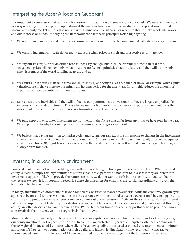### Interpreting the Asset Allocation Quadrant

It is important to emphasize that our portfolio positioning quadrant is a framework, not a formula. We use the framework as a way of scaling our risk exposure up or down at the margins based on our intermediate-term expectations for fixed income and equity market returns. It is not a market timing tool that signals if or when we should make wholesale moves in and out of stocks or bonds. Underlying the framework are a few basic principles worth highlighting:

- 1. We want to incrementally dial up equity exposure when we can expect to be compensated with above-average returns.
- 2. We want to incrementally scale down equity exposure when prices are high and prospective returns are low.
- 3. Scaling our risk exposure as described here sounds easy enough, but it will be extremely difficult in real time. In general, prices will be high only when investors are feeling optimistic about the future and they will be low only when it seems as if the world is falling apart around us.
- 4. We adjust our exposure to fixed income and equities by quantifying risk as a function of time. For example, when equity valuations are high, we increase our minimum holding period for the asset class. In turn, this reduces the amount of exposure we have to equities within our portfolios.
- 5. Market cycles are inevitable and they will influence our performance as investors, but they are largely unpredictable in terms of magnitude and timing. This is why we use this framework to scale our risk exposure incrementally as the investment environment evolves and not as a formulaic market timing tool.
- 6. We fully expect to encounter investment environments in the future that differ from anything we have seen in the past. We are prepared to adapt as our experience and common sense suggests we should.
- 7. We believe that paying attention to market cycles and scaling our risk exposure in response to changes in the investment environment is the right approach for most of our clients. Still, some may prefer to remain heavily allocated to equities at all times. This is OK, it just takes nerves of steel (as the pandemic-driven sell-off reminded us once again last year) and a longer-term mindset.

#### Investing in a Low Return Environment

Financial markets are not accommodating; they will not provide high returns just because we want them. When elevated equity valuations imply that high returns are not reasonable to expect, we do not want to invest as if they are. When safe investments appear unlikely to provide the returns we want, we do not want to rush into riskier investments to obtain the returns we seek. It is important to recognize these circumstances for what they are, to plan accordingly, and avoid the temptation to chase returns.

In today's investment environment, we favor a Moderate Conservative stance towards risk. While the economic growth cycle appears to be on solid footing, we do not believe the current environment is indicative of a generational buying opportunity that is likely to produce the type of returns we saw coming out of the recession in 2009. At the same time, near-zero interest rates can be supportive of higher equity valuations, so we do not believe stock prices are irrationally exuberant (at this time), as they are often described to have been in the late-1990s. Hence, our framework calls for portfolios to be positioned more conservatively than in 2009, yet more aggressively than in 1999.

More specifically, we currently aim to protect 14 years of anticipated cash needs in fixed income securities, thereby giving our equity investments a 15+ year time horizon. In contrast, we protected 10 years of anticipated cash needs coming out of the 2009 global financial crisis. In cases where clients have no/negligible anticipated cash needs, we recommend a minimum allocation of 30 percent to a combination of high-quality and higher-yielding fixed income securities. In contrast, we recommended a minimum allocation of 15 percent to fixed income in the early years of the last economic expansion.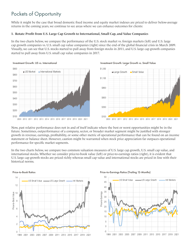### Pockets of Opportunity

While it might be the case that broad domestic fixed income and equity market indexes are priced to deliver below-average returns in the coming years, we continue to see areas where we can enhance outcomes for clients:

#### **1. Rotate Profit from U.S. Large Cap Growth to International, Small Cap, and Value Companies**

In the two charts below, we compare the performance of the U.S. stock market vs. foreign markets (left) and U.S. large cap growth companies vs. U.S. small cap value companies (right) since the end of the global financial crisis in March 2009. Visually, we can see that U.S. stocks started to pull away from foreign stocks in 2011, and U.S. large cap growth companies started to pull away from U.S. small cap value companies in 2017.



Now, past relative performance does not in and of itself indicate where the best or worst opportunities might be in the future. Sometimes, outperformance of a company, sector, or broader market segment might be justified with stronger growth in revenue, earnings, profitability, or some other metric of operational performance that can be found on an income statement or balance sheet. However, caution might be warranted when stock price appreciation far outpaces operational performance for specific market segments.

In the two charts below, we compare two common valuation measures of U.S. large cap growth, U.S. small cap value, and international stocks. Whether we consider price-to-book value (left) or price-to-earnings ratios (right), it is evident that U.S. large cap growth stocks are priced richly whereas small cap value and international stocks are priced in line with their historical norms.





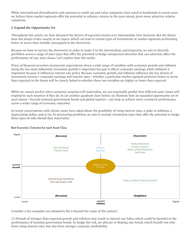While international diversification and exposure to small cap and value companies have acted as headwinds in recent years, we believe these market segments offer the potential to enhance returns in the years ahead, given more attractive relative valuations.

#### **2. Expand the Opportunity Set**

Throughout this article, we have discussed the drivers of expected returns over intermediate time horizons. But the future does not always evolve exactly as we expect, which can lead to certain types of investments or market segments performing better or worse than initially anticipated in the short-term.

Because we have to survive the short-term in order to make it to the intermediate and long-term, we aim to diversify portfolios across a range of asset types that offer the potential to hedge unexpected outcomes that can adversely affect the performance of core asset classes. Let's explore how this works.

Prices of financial securities incorporate expectations about a wide range of variables, with economic growth and inflation being the two most influential. Economic growth is important because it affects corporate earnings, while inflation is important because it influences interest rate policy. Because economic growth and inflation influence the key drivers of investment returns—corporate earnings and interest rates—whether a particular market segment performs better or worse than expected in the future will be closely linked to whether these two variables are higher or lower than expected.

While we cannot predict when economic surprises will materialize, we can reasonably predict how different asset classes will respond to such surprises if they do. In yet another quadrant chart below, we illustrate how an expanded opportunity set of asset classes—beyond nominal government bonds and global equities—can help us achieve more consistent performance across a wider range of economic outcomes.

In recent conversations with clients, many have asked about the possibility of rising interest rates, a spike in inflation, a depreciating dollar, and so on. In structuring portfolios, we aim to include investment types that offer the potential to hedge these types of risks should they materialize.



#### **Best Economic Outcome for each Asset Class** Best Economic Outcome for each Asset Class

Consider a few examples (an exhaustive list is beyond the scope of this article):

(1) Periods of stronger than expected growth and inflation may result in interest rate hikes, which could be harmful to the performance of nominal government bonds. To hedge this risk, we allocate to floating rate bonds, which benefit not only from rising interest rates, but also from stronger corporate profitability.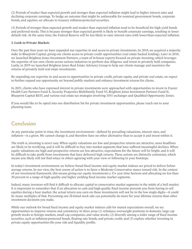(2) Periods of weaker than expected growth and stronger than expected inflation might lead to higher interest rates and declining corporate earnings. To hedge an outcome that might be unfavorable for nominal government bonds, corporate bonds, and equities, we allocate to treasury inflation-protected securities.

(3) Periods of stronger than expected growth and weaker than expected inflation tend to be beneficial for high yield bonds and preferred stocks. This is because stronger than expected growth is likely to benefit corporate earnings, resulting in lower default risk. At the same time, the Federal Reserve will be less likely to raise interest rates with lower-than-expected inflation.

#### **3. Look to Private Markets**

Over the past four years we have expanded our expertise in and access to private investments. In 2018, we acquired a majority stake in Blueprint Capital, giving our clients access to private credit opportunities (real estate backed lending). Later in 2018, we launched Brighton Jones Investment Partners, a team of in-house experts focused on private investing, which leverages the expertise of our own clients across various industries to perform due diligence and invest in privately held companies. Lastly, in 2019 we launched Brighton Jones Real Estate Advisory Group to help our clients manage and maximize the returns of privately held real estate investments.

By expanding our expertise in and access to opportunities in private credit, private equity, and private real estate, we expect to further expand our opportunity set beyond public markets and enhance investment returns for clients.

In 2021, clients who have expressed interest in private investments were approached with opportunities to invest in Frazier Health Care Partners Fund X, Security Properties Multifamily Fund VI, Brighton Jones Investment Partners Fund II, Blueprint Capital REIT, and various real estate tax strategies involving 1031 exchanges and Qualified Opportunity Zones.

If you would like to be opted into our distribution list for private investment opportunities, please reach out to your planning team.

### Conclusion

At any particular point in time, the investment environment—defined by prevailing valuations, interest rates, and inflation—is a given. We cannot change it, and therefore have no other alternative than to accept it and invest within it.

The truth is, investing is never easy. When equity valuations are low and prospective returns are attractive, news headlines are likely to be terrifying, and it will be difficult to buy into market segments that have suffered meaningful declines. When equity valuations are high and prospective returns are less attractive, expectations for the future will be bright, and it will be difficult to take profit from investments that have delivered high returns. These actions are distinctly contrarian, which means you likely will not find solace in others agreeing with your view or following in your footsteps.

In today's investment environment, we believe broad fixed income and equity market indexes are priced to deliver belowaverage returns. In our view, the best course of action is to favor a Moderate Conservative stance toward risk. In the context of our investment framework, this means giving our equity investments a 15+ year time horizon and allocating no less than 30 percent to a range of high-quality and higher yielding fixed income market segments.

Indeed, many investors will find it difficult to allocate capital to conservative market segments in the midst of a bull market. It is important to remember that if an allocation to cash and high-quality fixed income prevents you from having to sell equities during a bear market, the actual return you earn on those investments will not be in the low single-digits—it could be many multiples of that. Preventing one ill-timed stock sale can potentially do more for your lifetime returns than other investment decisions you make.

While our outlook for broad fixed income and equity market indexes calls for muted expectations overall, we see opportunities to improve returns and consistency in three areas (1) rebalance overweight positions in domestic large cap growth stocks to foreign markets, small cap companies, and value stocks; (2) diversify among a wider range of fixed income securities, such as inflation-protected bonds, floating rate bonds, and private credit; and (3) explore whether investing in private equity opportunities fits your risk and liquidity profile.